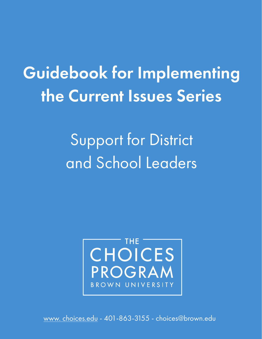Guidebook for Implementing the Current Issues Series

> Support for District and School Leaders



[www. choices.edu -](https://www.choices.edu/) 401-863-3155 - choices@brown.edu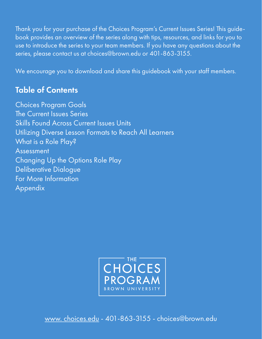Thank you for your purchase of the Choices Program's Current Issues Series! This guidebook provides an overview of the series along with tips, resources, and links for you to use to introduce the series to your team members. If you have any questions about the series, please contact us at choices@brown.edu or 401-863-3155.

We encourage you to download and share this guidebook with your staff members.

# Table of Contents

Choices Program Goals The Current Issues Series Skills Found Across Current Issues Units Utilizing Diverse Lesson Formats to Reach All Learners What is a Role Play? Assessment Changing Up the Options Role Play Deliberative Dialogue For More Information Appendix



[www. choices.edu -](https://www.choices.edu/) 401-863-3155 - choices@brown.edu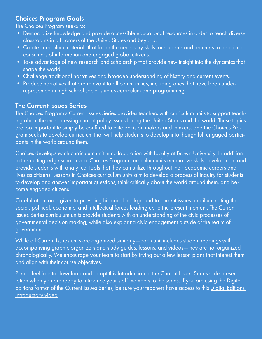# Choices Program Goals

The Choices Program seeks to:

- Democratize knowledge and provide accessible educational resources in order to reach diverse classrooms in all corners of the United States and beyond.
- Create curriculum materials that foster the necessary skills for students and teachers to be critical consumers of information and engaged global citizens.
- Take advantage of new research and scholarship that provide new insight into the dynamics that shape the world.
- Challenge traditional narratives and broaden understanding of history and current events.
- Produce narratives that are relevant to all communities, including ones that have been underrepresented in high school social studies curriculum and programming.

## The Current Issues Series

The Choices Program's Current Issues Series provides teachers with curriculum units to support teaching about the most pressing current policy issues facing the United States and the world. These topics are too important to simply be confined to elite decision makers and thinkers, and the Choices Program seeks to develop curriculum that will help students to develop into thoughtful, engaged participants in the world around them.

Choices develops each curriculum unit in collaboration with faculty at Brown University. In addition to this cutting-edge scholarship, Choices Program curriculum units emphasize skills development and provide students with analytical tools that they can utilize throughout their academic careers and lives as citizens. Lessons in Choices curriculum units aim to develop a process of inquiry for students to develop and answer important questions, think critically about the world around them, and become engaged citizens.

Careful attention is given to providing historical background to current issues and illuminating the social, political, economic, and intellectual forces leading up to the present moment. The Current Issues Series curriculum units provide students with an understanding of the civic processes of governmental decision making, while also exploring civic engagement outside of the realm of government.

While all Current Issues units are organized similarly—each unit includes student readings with accompanying graphic organizers and study guides, lessons, and videos—they are not organized chronologically. We encourage your team to start by trying out a few lesson plans that interest them and align with their course objectives.

Please feel free to download and adapt this [Introduction to the Current Issues Series s](https://docs.google.com/presentation/d/10LSdnoV6o1rBTRPKtA5__am8nIGH8TLT/view#slide=id.p1)lide presentation when you are ready to introduce your staff members to the series. If you are using the Digital Editions format of the Current Issues Series, be sure your teachers have access to this Digital Editions [introductory video.](https://vimeo.com/251346049)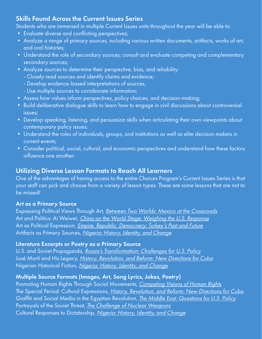# Skills Found Across the Current Issues Series

Students who are immersed in multiple Current Issues units throughout the year will be able to:

- Evaluate diverse and conflicting perspectives;
- Analyze a range of primary sources, including various written documents, artifacts, works of art, and oral histories;
- Understand the role of secondary sources; consult and evaluate competing and complementary secondary sources;
- Analyze sources to determine their perspective, bias, and reliability:
	- Closely read sources and identify claims and evidence;
	- Develop evidence-based interpretations of sources;
	- Use multiple sources to corroborate information;
- Assess how values inform perspectives, policy choices, and decision-making;
- Build deliberative dialogue skills to learn how to engage in civil discussions about controversial issues;
- Develop speaking, listening, and persuasion skills when articulating their own viewpoints about contemporary policy issues;
- Understand the roles of individuals, groups, and institutions as well as elite decision makers in current events;
- Consider political, social, cultural, and economic perspectives and understand how these factors influence one another.

# Utilizing Diverse Lesson Formats to Reach All Learners

One of the advantages of having access to the entire Choices Program's Current Issues Series is that your staff can pick and choose from a variety of lesson types. These are some lessons that are not to be missed!

### Art as a Primary Source

Expressing Political Views Through Art, [Between Two Worlds: Mexico at the Crossroads](https://www.choices.edu/curriculum-unit/two-worlds-mexico-crossroads/) Art and Politics: Ai Weiwei, *[China on the World Stage: Weighing the U.S. Response](https://www.choices.edu/curriculum-unit/china-world-stage-weighing-u-s-response/)* Art as Political Expression, *[Empire, Republic, Democracy: Turkey's Past and Future](https://www.choices.edu/curriculum-unit/turkey/)* Artifacts as Primary Sources, [Nigeria: History, Identity, and Change](https://www.choices.edu/curriculum-unit/nigeria-history-identity-change/)

### Literature Excerpts or Poetry as a Primary Source

U.S. and Soviet Propaganda, [Russia's Transformation: Challenges for U.S. Policy](https://www.choices.edu/curriculum-unit/russias-transformation-challenges-u-s-policy/) José Martí and His Legacy, [History, Revolution, and Reform: New Directions for Cuba](https://www.choices.edu/curriculum-unit/history-revolution-reform-new-directions-cuba/) Nigerian Historical Fiction, *[Nigeria: History, Identity, and Change](https://www.choices.edu/curriculum-unit/nigeria-history-identity-change/)* 

## Multiple Source Formats (Images, Art, Song Lyrics, Jokes, Poetry)

Promoting Human Rights Through Social Movements, [Competing Visions of Human Rights](https://www.choices.edu/curriculum-unit/competing-visions-human-rights-questions-u-s-policy/) The Special Period: Cultural Expressions, [History, Revolution, and Reform: New Directions for Cuba](https://www.choices.edu/curriculum-unit/history-revolution-reform-new-directions-cuba/) Graffiti and Social Media in the Egyptian Revolution, *[The Middle East: Questions for U.S. Policy](https://www.choices.edu/curriculum-unit/middle-east-transition-questions-u-s-policy/)* Portrayals of the Soviet Threat, [The Challenge of Nuclear Weapons](https://www.choices.edu/curriculum-unit/challenge-nuclear-weapons/) Cultural Responses to Dictatorship, [Nigeria: History, Identity, and Change](https://www.choices.edu/curriculum-unit/nigeria-history-identity-change/)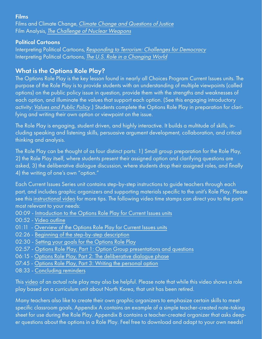#### Films

Films and Climate Change, [Climate Change and Questions of Justice](https://www.choices.edu/curriculum-unit/climate-change-questions-justice/) Film Analysis, [The Challenge of Nuclear Weapons](https://www.choices.edu/curriculum-unit/challenge-nuclear-weapons/)

### Political Cartoons

Interpreting Political Cartoons, Responding to [Terrorism: Challenges for Democracy](https://www.choices.edu/curriculum-unit/responding-terrorism-challenges-democracy/) Interpreting Political Cartoons, [The U.S. Role in a Changing World](https://www.choices.edu/curriculum-unit/u-s-role-changing-world/)

# What is the Options Role Play?

The Options Role Play is the key lesson found in nearly all Choices Program Current Issues units. The purpose of the Role Play is to provide students with an understanding of multiple viewpoints (called options) on the public policy issue in question, provide them with the strengths and weaknesses of each option, and illuminate the values that support each option. (See this engaging introductory activity: [Values and Public Policy](https://www.choices.edu/teaching-news-lesson/values-public-policy/).) Students complete the Options Role Play in preparation for clarifying and writing their own option or viewpoint on the issue.

The Role Play is engaging, student driven, and highly interactive. It builds a multitude of skills, including speaking and listening skills, persuasive argument development, collaboration, and critical thinking and analysis.

The Role Play can be thought of as four distinct parts: 1) Small group preparation for the Role Play, 2) the Role Play itself, where students present their assigned option and clarifying questions are asked, 3) the deliberative dialogue discussion, where students drop their assigned roles, and finally 4) the writing of one's own "option."

Each Current Issues Series unit contains step-by-step instructions to guide teachers through each part, and includes graphic organizers and supporting materials specific to the unit's Role Play. Please see this [instructional video](https://vimeo.com/604216966) for more tips. The following video time stamps can direct you to the parts most relevant to your needs:

- 00:09 - [Introduction to the Options Role Play for Current Issues units](https://vimeo.com/604216966#t=0m9s)
- 00:52  [Video outline](https://vimeo.com/604216966#t=0m52s)
- 01:11 - [Overview of the Options Role Play for Current Issues units](https://vimeo.com/604216966#t=1m11s)
- 02:26 - [Beginning of the step-by-step description](https://vimeo.com/604216966#t=2m26s)
- 02:30  [Setting your goals for the Options Role Play](https://vimeo.com/604216966#t=2m30s)
- 02:57  [Options Role Play, Part 1: Option Group presentations and questions](https://vimeo.com/604216966#t=2m57s)
- 06:15  [Options Role Play, Part 2: The deliberative dialogue phase](https://vimeo.com/604216966#t=6m15s)
- 07:45 - [Options Role Play, Part 3: Writing the personal option](https://vimeo.com/604216966#t=7m45s)
- 08:33  [Concluding reminders](https://vimeo.com/604216966#t=8m33s)

Thi[s video](https://vimeo.com/56942485) of an actual role play may also be helpful. Please note that while this video shows a role play based on a curriculum unit about North Korea, that unit has been retired.

Many teachers also like to create their own graphic organizers to emphasize certain skills to meet specific classroom goals. Appendix A contains an example of a simple teacher-created note-taking sheet for use during the Role Play. Appendix B contains a teacher-created organizer that asks deeper questions about the options in a Role Play. Feel free to download and adapt to your own needs!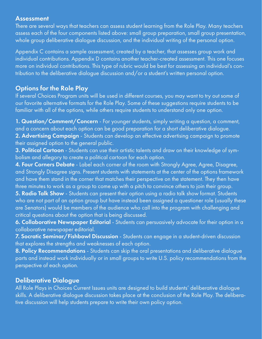#### Assessment

There are several ways that teachers can assess student learning from the Role Play. Many teachers assess each of the four components listed above: small group preparation, small group presentation, whole group deliberative dialogue discussion, and the individual writing of the personal option.

Appendix C contains a sample assessment, created by a teacher, that assesses group work and individual contributions. Appendix D contains another teacher-created assessment. This one focuses more on individual contributions. This type of rubric would be best for assessing an individual's contribution to the deliberative dialogue discussion and/or a student's written personal option.

# Options for the Role Play

If several Choices Program units will be used in different courses, you may want to try out some of our favorite alternative formats for the Role Play. Some of these suggestions require students to be familiar with all of the options, while others require students to understand only one option.

1. Question/Comment/Concern - For younger students, simply writing a question, a comment, and a concern about each option can be good preparation for a short deliberative dialogue. 2. Advertising Campaign - Students can develop an effective advertising campaign to promote their assigned option to the general public.

3. Political Cartoon - Students can use their artistic talents and draw on their knowledge of symbolism and allegory to create a political cartoon for each option.

4. Four Corners Debate - Label each corner of the room with Strongly Agree, Agree, Disagree, and Strongly Disagree signs. Present students with statements at the center of the options framework and have them stand in the corner that matches their perspective on the statement. They then have three minutes to work as a group to come up with a pitch to convince others to join their group.

5. Radio Talk Show - Students can present their option using a radio talk show format. Students who are not part of an option group but have instead been assigned a questioner role (usually these are Senators) would be members of the audience who call into the program with challenging and critical questions about the option that is being discussed.

6. Collaborative Newspaper Editorial - Students can persuasively advocate for their option in a collaborative newspaper editorial.

7. Socratic Seminar/Fishbowl Discussion - Students can engage in a student-driven discussion that explores the strengths and weaknesses of each option.

8. Policy Recommendations - Students can skip the oral presentations and deliberative dialogue parts and instead work individually or in small groups to write U.S. policy recommendations from the perspective of each option.

# Deliberative Dialogue

All Role Plays in Choices Current Issues units are designed to build students' deliberative dialogue skills. A deliberative dialogue discussion takes place at the conclusion of the Role Play. The deliberative discussion will help students prepare to write their own policy option.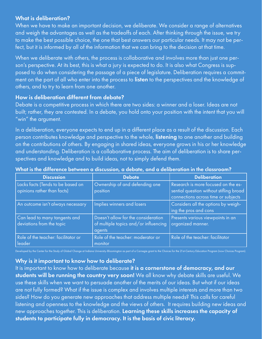#### What is deliberation?

When we have to make an important decision, we deliberate. We consider a range of alternatives and weigh the advantages as well as the tradeoffs of each. After thinking through the issue, we try to make the best possible choice, the one that best answers our particular needs. It may not be perfect, but it is informed by all of the information that we can bring to the decision at that time.

When we deliberate with others, the process is collaborative and involves more than just one person's perspective. At its best, this is what a jury is expected to do. It is also what Congress is supposed to do when considering the passage of a piece of legislature. Deliberation requires a commitment on the part of all who enter into the process to listen to the perspectives and the knowledge of others, and to try to learn from one another.

#### How is deliberation different from debate?

Debate is a competitive process in which there are two sides: a winner and a loser. Ideas are not built; rather, they are contested. In a debate, you hold onto your position with the intent that you will "win" the argument.

In a deliberation, everyone expects to end up in a different place as a result of the discussion. Each person contributes knowledge and perspective to the whole, listening to one another and building on the contributions of others. By engaging in shared ideas, everyone grows in his or her knowledge and understanding. Deliberation is a collaborative process. The aim of deliberation is to share perspectives and knowledge and to build ideas, not to simply defend them.

| <b>Discussion</b>                                                | <b>Debate</b>                                                                          | <b>Deliberation</b>                                                                                                   |
|------------------------------------------------------------------|----------------------------------------------------------------------------------------|-----------------------------------------------------------------------------------------------------------------------|
| Lacks facts (Tends to be based on<br>opinions rather than facts) | Ownership of and defending one<br>position                                             | Research is more focused on the es-<br>sential question without stifling broad<br>connections across time or subjects |
| An outcome isn't always necessary                                | Implies winners and losers                                                             | Considers all the options by weigh-<br>ing the pros and cons                                                          |
| Can lead to many tangents and<br>deviations from the topic       | Doesn't allow for the consideration<br>of multiple topics and/or influencing<br>agents | Presents various viewpoints in an<br>organized manner.                                                                |
| Role of the teacher: facilitator or<br>leader                    | Role of the teacher: moderator or<br>monitor                                           | Role of the teacher: facilitator                                                                                      |

#### What is the difference between a discussion, a debate, and a deliberation in the classroom?

Developed by the Center for the Study of Global Change at Indiana University-Bloomington as part of a Carnegie grant to the Choices for the 21st-Century Education Program (now Choices Program).

#### Why is it important to know how to deliberate?

It is important to know how to deliberate because it is a cornerstone of democracy, and our students will be running the country very soon! We all know why debate skills are useful. We use these skills when we want to persuade another of the merits of our ideas. But what if our ideas are not fully formed? What if the issue is complex and involves multiple interests and more than two sides? How do you generate new approaches that address multiple needs? This calls for careful listening and openness to the knowledge and the views of others. It requires building new ideas and new approaches together. This is deliberation. Learning these skills increases the capacity of students to participate fully in democracy. It is the basis of civic literacy.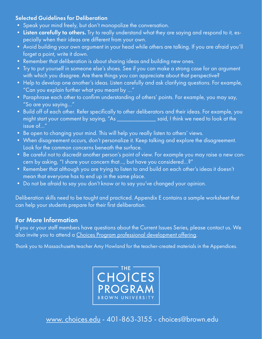#### Selected Guidelines for Deliberation

- Speak your mind freely, but don't monopolize the conversation.
- Listen carefully to others. Try to really understand what they are saying and respond to it, especially when their ideas are different from your own.
- Avoid building your own argument in your head while others are talking. If you are afraid you'll forget a point, write it down.
- Remember that deliberation is about sharing ideas and building new ones.
- Try to put yourself in someone else's shoes. See if you can make a strong case for an argument with which you disagree. Are there things you can appreciate about that perspective?
- Help to develop one another's ideas. Listen carefully and ask clarifying questions. For example, "Can you explain further what you meant by …"
- Paraphrase each other to confirm understanding of others' points. For example, you may say, "So are you saying…"
- Build off of each other. Refer specifically to other deliberators and their ideas. For example, you might start your comment by saying, "As \_\_\_\_\_\_\_\_\_\_\_\_\_ said, I think we need to look at the issue of…"
- Be open to changing your mind. This will help you really listen to others' views.
- When disagreement occurs, don't personalize it. Keep talking and explore the disagreement. Look for the common concerns beneath the surface.
- Be careful not to discredit another person's point of view. For example you may raise a new concern by asking, "I share your concern that…, but have you considered…?"
- Remember that although you are trying to listen to and build on each other's ideas it doesn't mean that everyone has to end up in the same place.
- Do not be afraid to say you don't know or to say you've changed your opinion.

Deliberation skills need to be taught and practiced. Appendix E contains a sample worksheet that can help your students prepare for their first deliberation.

## For More Information

If you or your staff members have questions about the Current Issues Series, please contact us. We also invite you to attend a [Choices Program professional development offering](https://www.choices.edu/professional-development/).

Thank you to Massachusetts teacher Amy Howland for the teacher-created materials in the Appendices.



[www. choices.edu](https://www.choices.edu/) - 401-863-3155 - choices@brown.edu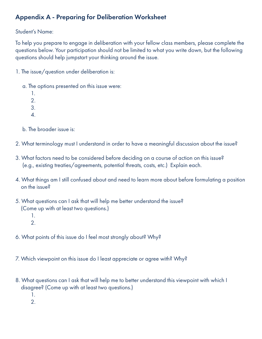# Appendix A - Preparing for Deliberation Worksheet

### Student's Name:

To help you prepare to engage in deliberation with your fellow class members, please complete the questions below. Your participation should not be limited to what you write down, but the following questions should help jumpstart your thinking around the issue.

- 1. The issue/question under deliberation is:
	- a. The options presented on this issue were:
		- 1. 2.
		- 3.
		- 4.
	- b. The broader issue is:
- 2. What terminology must I understand in order to have a meaningful discussion about the issue?
- 3. What factors need to be considered before deciding on a course of action on this issue? (e.g., existing treaties/agreements, potential threats, costs, etc.) Explain each.
- 4. What things am I still confused about and need to learn more about before formulating a position on the issue?
- 5. What questions can I ask that will help me better understand the issue? (Come up with at least two questions.)
	- 1.
	- 2.
- 6. What points of this issue do I feel most strongly about? Why?
- 7. Which viewpoint on this issue do I least appreciate or agree with? Why?
- 8. What questions can I ask that will help me to better understand this viewpoint with which I disagree? (Come up with at least two questions.)
	- 1.
	- 2.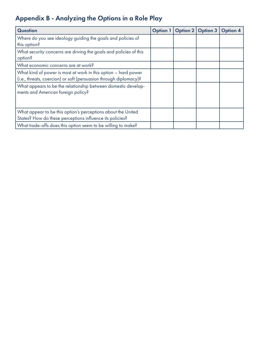# Appendix B - Analyzing the Options in a Role Play

| <b>Question</b>                                                                                                                     | <b>Option 1</b> | <b>Option 2</b> | <b>Option 3</b> | <b>Option 4</b> |
|-------------------------------------------------------------------------------------------------------------------------------------|-----------------|-----------------|-----------------|-----------------|
| Where do you see ideology guiding the goals and policies of<br>this option?                                                         |                 |                 |                 |                 |
| What security concerns are driving the goals and policies of this<br>option?                                                        |                 |                 |                 |                 |
| What economic concerns are at work?                                                                                                 |                 |                 |                 |                 |
| What kind of power is most at work in this option - hard power<br>(i.e., threats, coercion) or soft (persuasion through diplomacy)? |                 |                 |                 |                 |
| What appears to be the relationship between domestic develop-<br>ments and American foreign policy?                                 |                 |                 |                 |                 |
| What appear to be this option's perceptions about the United<br>States? How do these perceptions influence its policies?            |                 |                 |                 |                 |
| What trade-offs does this option seem to be willing to make?                                                                        |                 |                 |                 |                 |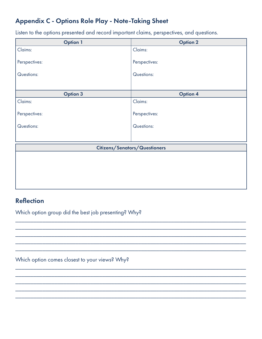# Appendix C - Options Role Play - Note-Taking Sheet

Listen to the options presented and record important claims, perspectives, and questions.

| <b>Option 1</b>               | <b>Option 2</b> |  |  |  |
|-------------------------------|-----------------|--|--|--|
| Claims:                       | Claims:         |  |  |  |
| Perspectives:                 | Perspectives:   |  |  |  |
| Questions:                    | Questions:      |  |  |  |
|                               |                 |  |  |  |
| <b>Option 3</b>               | <b>Option 4</b> |  |  |  |
| Claims:                       | Claims:         |  |  |  |
| Perspectives:                 | Perspectives:   |  |  |  |
| Questions:                    | Questions:      |  |  |  |
|                               |                 |  |  |  |
| Citizens/Senators/Questioners |                 |  |  |  |
|                               |                 |  |  |  |
|                               |                 |  |  |  |
|                               |                 |  |  |  |
|                               |                 |  |  |  |
|                               |                 |  |  |  |

\_\_\_\_\_\_\_\_\_\_\_\_\_\_\_\_\_\_\_\_\_\_\_\_\_\_\_\_\_\_\_\_\_\_\_\_\_\_\_\_\_\_\_\_\_\_\_\_\_\_\_\_\_\_\_\_\_\_\_\_\_\_\_\_\_\_\_\_\_\_\_\_\_\_\_\_\_ \_\_\_\_\_\_\_\_\_\_\_\_\_\_\_\_\_\_\_\_\_\_\_\_\_\_\_\_\_\_\_\_\_\_\_\_\_\_\_\_\_\_\_\_\_\_\_\_\_\_\_\_\_\_\_\_\_\_\_\_\_\_\_\_\_\_\_\_\_\_\_\_\_\_\_\_\_ \_\_\_\_\_\_\_\_\_\_\_\_\_\_\_\_\_\_\_\_\_\_\_\_\_\_\_\_\_\_\_\_\_\_\_\_\_\_\_\_\_\_\_\_\_\_\_\_\_\_\_\_\_\_\_\_\_\_\_\_\_\_\_\_\_\_\_\_\_\_\_\_\_\_\_\_\_ \_\_\_\_\_\_\_\_\_\_\_\_\_\_\_\_\_\_\_\_\_\_\_\_\_\_\_\_\_\_\_\_\_\_\_\_\_\_\_\_\_\_\_\_\_\_\_\_\_\_\_\_\_\_\_\_\_\_\_\_\_\_\_\_\_\_\_\_\_\_\_\_\_\_\_\_\_ \_\_\_\_\_\_\_\_\_\_\_\_\_\_\_\_\_\_\_\_\_\_\_\_\_\_\_\_\_\_\_\_\_\_\_\_\_\_\_\_\_\_\_\_\_\_\_\_\_\_\_\_\_\_\_\_\_\_\_\_\_\_\_\_\_\_\_\_\_\_\_\_\_\_\_\_\_

\_\_\_\_\_\_\_\_\_\_\_\_\_\_\_\_\_\_\_\_\_\_\_\_\_\_\_\_\_\_\_\_\_\_\_\_\_\_\_\_\_\_\_\_\_\_\_\_\_\_\_\_\_\_\_\_\_\_\_\_\_\_\_\_\_\_\_\_\_\_\_\_\_\_\_\_\_ \_\_\_\_\_\_\_\_\_\_\_\_\_\_\_\_\_\_\_\_\_\_\_\_\_\_\_\_\_\_\_\_\_\_\_\_\_\_\_\_\_\_\_\_\_\_\_\_\_\_\_\_\_\_\_\_\_\_\_\_\_\_\_\_\_\_\_\_\_\_\_\_\_\_\_\_\_ \_\_\_\_\_\_\_\_\_\_\_\_\_\_\_\_\_\_\_\_\_\_\_\_\_\_\_\_\_\_\_\_\_\_\_\_\_\_\_\_\_\_\_\_\_\_\_\_\_\_\_\_\_\_\_\_\_\_\_\_\_\_\_\_\_\_\_\_\_\_\_\_\_\_\_\_\_ \_\_\_\_\_\_\_\_\_\_\_\_\_\_\_\_\_\_\_\_\_\_\_\_\_\_\_\_\_\_\_\_\_\_\_\_\_\_\_\_\_\_\_\_\_\_\_\_\_\_\_\_\_\_\_\_\_\_\_\_\_\_\_\_\_\_\_\_\_\_\_\_\_\_\_\_\_ \_\_\_\_\_\_\_\_\_\_\_\_\_\_\_\_\_\_\_\_\_\_\_\_\_\_\_\_\_\_\_\_\_\_\_\_\_\_\_\_\_\_\_\_\_\_\_\_\_\_\_\_\_\_\_\_\_\_\_\_\_\_\_\_\_\_\_\_\_\_\_\_\_\_\_\_\_

# **Reflection**

Which option group did the best job presenting? Why?

Which option comes closest to your views? Why?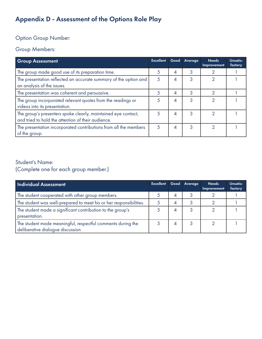# Appendix D - Assessment of the Options Role Play

# Option Group Number:

## Group Members:

| <b>Group Assessment</b>                                                                                             | <b>Excellent</b> |   | Good Average | <b>Needs</b><br>Improvement | Unsatis-<br>factory |
|---------------------------------------------------------------------------------------------------------------------|------------------|---|--------------|-----------------------------|---------------------|
| The group made good use of its preparation time.                                                                    | 5                | 4 | 3            | ◠                           |                     |
| The presentation reflected an accurate summary of the option and<br>an analysis of the issues.                      | 5                | 4 | 3            | 2                           |                     |
| The presentation was coherent and persuasive.                                                                       | 5                | 4 | 3            | ∩                           |                     |
| The group incorporated relevant quotes from the readings or<br>videos into its presentation.                        | 5                | 4 | 3            | ≘                           |                     |
| The group's presenters spoke clearly, maintained eye contact,<br>and tried to hold the attention of their audience. | 5                | 4 | 3            | っ                           |                     |
| The presentation incorporated contributions from all the members<br>of the group.                                   | 5                | 4 | 3            | റ                           |                     |

## Student's Name: (Complete one for each group member.)

| <b>Individual Assessment</b>                                                                    | <b>Excellent</b> |                | Good Average | <b>Needs</b><br>Improvement | Unsatis-<br>factory |
|-------------------------------------------------------------------------------------------------|------------------|----------------|--------------|-----------------------------|---------------------|
| The student cooperated with other group members.                                                |                  | $\overline{A}$ |              |                             |                     |
| The student was well-prepared to meet his or her responsibilities.                              |                  | 4              | 3            |                             |                     |
| The student made a significant contribution to the group's<br>presentation.                     |                  | 4              | 3            |                             |                     |
| The student made meaningful, respectful comments during the<br>deliberative dialogue discussion |                  | 4              |              |                             |                     |